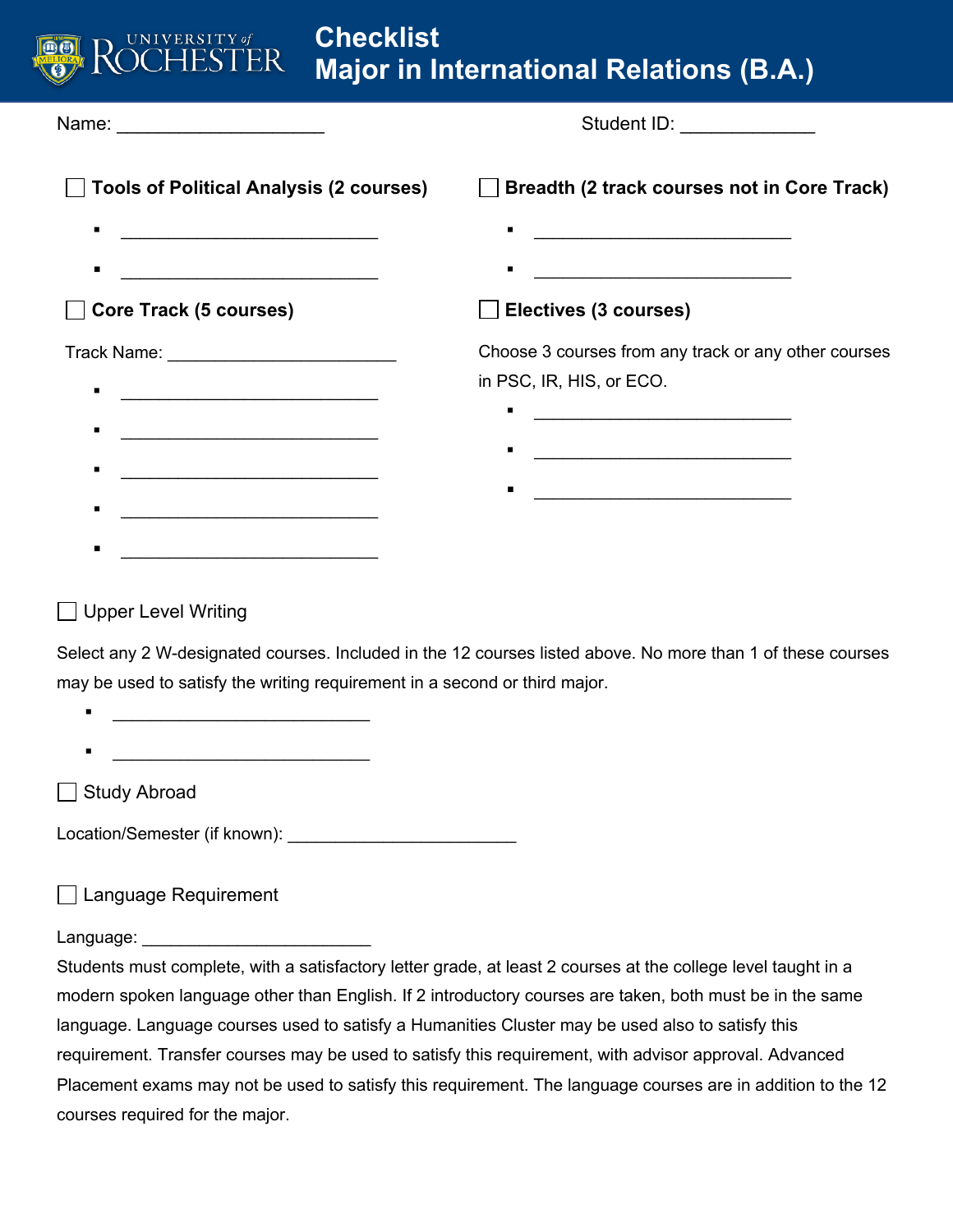| UNIVERSITY of<br>HESTER                             | <b>Checklist</b> | <b>Major in International Relations (B.A.)</b>                  |
|-----------------------------------------------------|------------------|-----------------------------------------------------------------|
| Name: __________________________                    |                  | Student ID: _______________                                     |
| <b>Tools of Political Analysis (2 courses)</b>      |                  | Breadth (2 track courses not in Core Track)                     |
| $\blacksquare$                                      |                  | <u> 1989 - Johann Barn, fransk politik amerikansk politik (</u> |
| п                                                   |                  | <u> 1989 - Johann Barbara, martin amerikan basa</u>             |
| <b>Core Track (5 courses)</b>                       |                  | Electives (3 courses)                                           |
| Track Name: <u>___________________________</u>      |                  | Choose 3 courses from any track or any other courses            |
| <u> 1989 - Andrea Station Barbara, amerikan per</u> |                  | in PSC, IR, HIS, or ECO.                                        |
| <u> 1989 - Johann Barbara, martxa alemaniar a</u>   |                  |                                                                 |
|                                                     |                  | <u> 1989 - Johann Stoff, fransk politik (d. 1989)</u>           |
| <u> 1989 - Johann Barbara, martxa alemaniar a</u>   |                  |                                                                 |
| <u> 1989 - Johann Barn, mars ann an t-</u>          |                  |                                                                 |
| п                                                   |                  |                                                                 |

## **Upper Level Writing**

Select any 2 W-designated courses. Included in the 12 courses listed above. No more than 1 of these courses may be used to satisfy the writing requirement in a second or third major.

- $\mathcal{L} = \{ \mathcal{L} \mid \mathcal{L} \in \mathcal{L} \}$
- $\blacksquare$

Study Abroad

Location/Semester (if known): \_\_\_\_\_\_\_\_\_\_\_\_\_\_\_\_\_\_\_\_\_\_\_\_

□ Language Requirement

Language:

Students must complete, with a satisfactory letter grade, at least 2 courses at the college level taught in a modern spoken language other than English. If 2 introductory courses are taken, both must be in the same language. Language courses used to satisfy a Humanities Cluster may be used also to satisfy this requirement. Transfer courses may be used to satisfy this requirement, with advisor approval. Advanced Placement exams may not be used to satisfy this requirement. The language courses are in addition to the 12 courses required for the major.